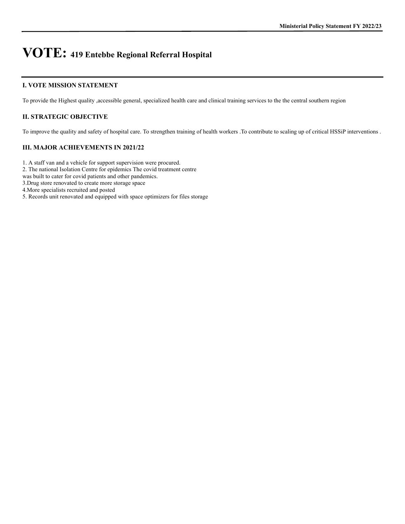### **I. VOTE MISSION STATEMENT**

To provide the Highest quality ,accessible general, specialized health care and clinical training services to the the central southern region

## **II. STRATEGIC OBJECTIVE**

To improve the quality and safety of hospital care. To strengthen training of health workers .To contribute to scaling up of critical HSSiP interventions .

## **III. MAJOR ACHIEVEMENTS IN 2021/22**

1. A staff van and a vehicle for support supervision were procured.

2. The national Isolation Centre for epidemics The covid treatment centre

was built to cater for covid patients and other pandemics.

3.Drug store renovated to create more storage space

4.More specialists recruited and posted

5. Records unit renovated and equipped with space optimizers for files storage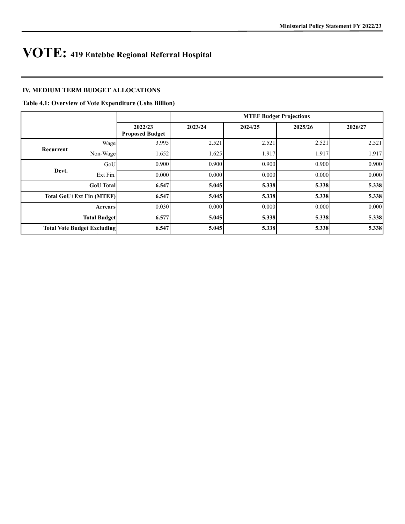## **IV. MEDIUM TERM BUDGET ALLOCATIONS**

#### **Table 4.1: Overview of Vote Expenditure (Ushs Billion)**

|                                   | <b>MTEF Budget Projections</b>                                                                                                                                            |                                                                               |                                                    |                                                    |  |
|-----------------------------------|---------------------------------------------------------------------------------------------------------------------------------------------------------------------------|-------------------------------------------------------------------------------|----------------------------------------------------|----------------------------------------------------|--|
| 2022/23<br><b>Proposed Budget</b> | 2023/24                                                                                                                                                                   | 2024/25                                                                       | 2025/26                                            | 2026/27                                            |  |
|                                   | 2.521                                                                                                                                                                     | 2.521                                                                         | 2.521                                              | 2.521                                              |  |
|                                   | 1.625                                                                                                                                                                     | 1.917                                                                         | 1.917                                              | 1.917                                              |  |
|                                   |                                                                                                                                                                           |                                                                               | 0.900                                              | 0.900                                              |  |
|                                   | 0.000                                                                                                                                                                     | 0.000                                                                         | 0.000                                              | 0.000                                              |  |
|                                   |                                                                                                                                                                           |                                                                               | 5.338                                              | 5.338                                              |  |
|                                   |                                                                                                                                                                           |                                                                               | 5.338                                              | 5.338                                              |  |
|                                   |                                                                                                                                                                           | 0.000                                                                         | 0.000                                              | 0.000                                              |  |
|                                   |                                                                                                                                                                           |                                                                               | 5.338                                              | 5.338                                              |  |
|                                   |                                                                                                                                                                           |                                                                               |                                                    | 5.338                                              |  |
|                                   | Wage<br>Non-Wage<br>GoU<br>Ext Fin.<br><b>GoU</b> Total<br><b>Total GoU+Ext Fin (MTEF)</b><br><b>Arrears</b><br><b>Total Budget</b><br><b>Total Vote Budget Excluding</b> | 3.995<br>1.652<br>0.900<br>0.000<br>6.547<br>6.547<br>0.030<br>6.577<br>6.547 | 0.900<br>5.045<br>5.045<br>0.000<br>5.045<br>5.045 | 0.900<br>5.338<br>5.338<br>5.338<br>5.338<br>5.338 |  |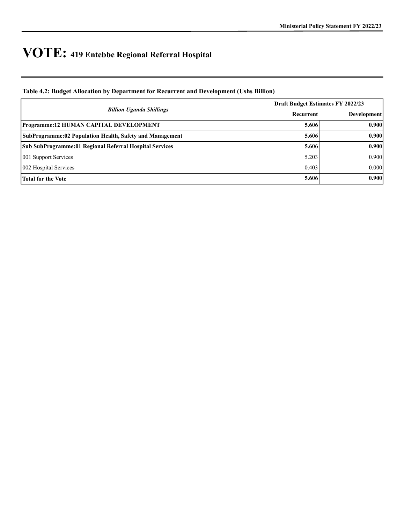## **Table 4.2: Budget Allocation by Department for Recurrent and Development (Ushs Billion)**

|                                                          | Draft Budget Estimates FY 2022/23 |                    |  |
|----------------------------------------------------------|-----------------------------------|--------------------|--|
| <b>Billion Uganda Shillings</b>                          | Recurrent                         | <b>Development</b> |  |
| <b>Programme:12 HUMAN CAPITAL DEVELOPMENT</b>            | 5.606                             | 0.900              |  |
| SubProgramme:02 Population Health, Safety and Management | 5.606                             | 0.900              |  |
| Sub SubProgramme: 01 Regional Referral Hospital Services | 5.606                             | 0.900              |  |
| 001 Support Services                                     | 5.203                             | 0.900              |  |
| 002 Hospital Services                                    | 0.403                             | 0.000              |  |
| Total for the Vote                                       | 5.606                             | 0.900              |  |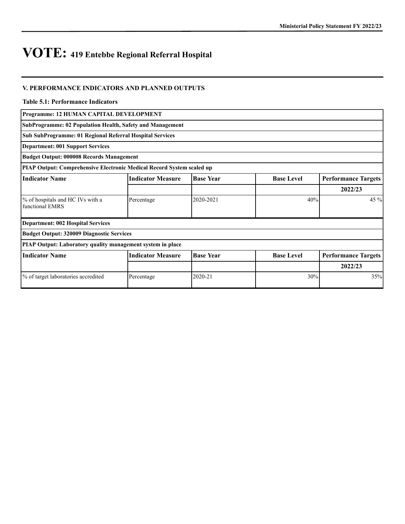### **V. PERFORMANCE INDICATORS AND PLANNED OUTPUTS**

#### **Table 5.1: Performance Indicators**

**SubProgramme: 02 Population Health, Safety and Management**

**Sub SubProgramme: 01 Regional Referral Hospital Services**

**Department: 001 Support Services**

**Budget Output: 000008 Records Management**

**PIAP Output: Comprehensive Electronic Medical Record System scaled up**

| <b>Indicator Name</b>                                      | <b>Indicator Measure</b> | <b>Base Year</b> | <b>Base Level</b> | <b>Performance Targets</b> |  |
|------------------------------------------------------------|--------------------------|------------------|-------------------|----------------------------|--|
|                                                            |                          |                  |                   | 2022/23                    |  |
| % of hospitals and HC IVs with a<br>functional EMRS        | Percentage               | 2020-2021        | 40%               | $45\%$                     |  |
| Department: 002 Hospital Services                          |                          |                  |                   |                            |  |
| Budget Output: 320009 Diagnostic Services                  |                          |                  |                   |                            |  |
| PIAP Output: Laboratory quality management system in place |                          |                  |                   |                            |  |
| <b>Indicator Measure</b><br><b>Indicator Name</b>          |                          | <b>Base Year</b> | <b>Base Level</b> | <b>Performance Targets</b> |  |
|                                                            |                          |                  |                   | 2022/23                    |  |
| % of target laboratories accredited                        | Percentage               | 2020-21          | 30%               | 35%                        |  |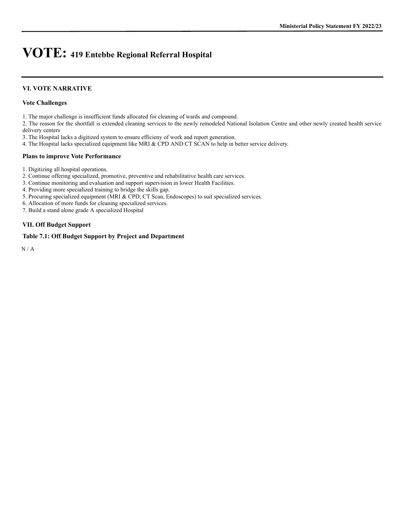#### **VI. VOTE NARRATIVE**

#### **Vote Challenges**

1. The major challenge is insufficient funds allocated for cleaning of wards and compound.

2. The reason for the shortfall is extended cleaning services to the newly remodeled National Isolation Centre and other newly created health service delivery centers

3. The Hospital lacks a digitized system to ensure efficieny of work and report generation.

4. The Hospital lacks specialized equipment like MRI & CPD AND CT SCAN to help in better service delivery.

#### **Plans to improve Vote Performance**

1. Digitizing all hospital operations.

2. Continue offering specialized, promotive, preventive and rehabilitative health care services.

3. Continue monitoring and evaluation and support supervision in lower Health Facilities.

4. Providing more specialized training to bridge the skills gap.

5. Procuring specialized equipment (MRI & CPD, CT Scan, Endoscopes) to suit specialized services.

6. Allocation of more funds for cleaning specialized services.

7. Build a stand alone grade A specialized Hospital

#### **VII. Off Budget Support**

#### **Table 7.1: Off Budget Support by Project and Department**

N / A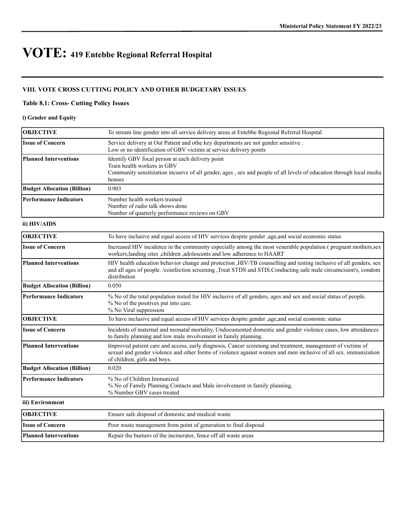## **VIII. VOTE CROSS CUTTING POLICY AND OTHER BUDGETARY ISSUES**

### **Table 8.1: Cross- Cutting Policy Issues**

### **i) Gender and Equity**

| <b>OBJECTIVE</b>                   | To stream line gender into all service delivery areas at Entebbe Regional Referral Hospital                                                                                                                                                                    |
|------------------------------------|----------------------------------------------------------------------------------------------------------------------------------------------------------------------------------------------------------------------------------------------------------------|
| <b>Issue of Concern</b>            | Service delivery at Out Patient and othe key departments are not gender sensitive.<br>Low or no identification of GBV victims at service delivery points                                                                                                       |
| <b>Planned Interventions</b>       | Identify GBV focal person at each delivery point<br>Train health workers in GBV<br>Community sensitization incusive of all gender, ages, sex and people of all levels of education through local media<br>houses                                               |
| <b>Budget Allocation (Billion)</b> | 0.003                                                                                                                                                                                                                                                          |
| <b>Performance Indicators</b>      | Number health workers trained<br>Number of radio talk shows done<br>Number of quarterly performance reviews on GBV                                                                                                                                             |
| ii) HIV/AIDS                       |                                                                                                                                                                                                                                                                |
| <b>OBJECTIVE</b>                   | To have inclusive and equal access of HIV services despite gender , age, and social economic status                                                                                                                                                            |
| <b>Issue of Concern</b>            | Increased HIV incidence in the community especially among the most venerable population (pregnant mothers, sex<br>workers, landing sites, children, adolescents and low adherence to HAART                                                                     |
| <b>Planned Interventions</b>       | HIV health education behavior change and protection , HIV/TB counselling and testing inclusive of all genders, sex<br>and all ages of people. /coinfection screening ,Treat STDS and STIS.Conducting safe male circumcision's, condom<br>distribution          |
| <b>Budget Allocation (Billion)</b> | 0.050                                                                                                                                                                                                                                                          |
| <b>Performance Indicators</b>      | % No of the total population tested for HIV inclusive of all genders, ages and sex and social status of people.<br>% No of the positives put into care.<br>% No Viral suppression                                                                              |
| <b>OBJECTIVE</b>                   | To have inclusive and equal access of HIV services despite gender , age, and social economic status                                                                                                                                                            |
| <b>Issue of Concern</b>            | Incidents of maternal and neonatal mortality, Undocumented domestic and gender violence cases, low attendances<br>to family planning and low male involvement in family planning.                                                                              |
| <b>Planned Interventions</b>       | Improved patient care and access, early diagnosis, Cancer screening and treatment, management of victims of<br>sexual and gender violence and other forms of violence against women and men inclusive of all sex. immunization<br>of children, girls and boys. |
| <b>Budget Allocation (Billion)</b> | 0.020                                                                                                                                                                                                                                                          |
| <b>Performance Indicators</b>      | % No of Children Immunized<br>% No of Family Planning Contacts and Male involvement in family planning,<br>% Number GBV cases treated                                                                                                                          |
| iii) Environment                   |                                                                                                                                                                                                                                                                |
| <b>OBJECTIVE</b>                   | Ensure safe disposal of domestic and medical waste                                                                                                                                                                                                             |
| <b>Issue of Concern</b>            | Poor waste management from point of generation to final disposal                                                                                                                                                                                               |
| <b>Planned Interventions</b>       | Repair the burners of the incinerator, fence off all waste areas                                                                                                                                                                                               |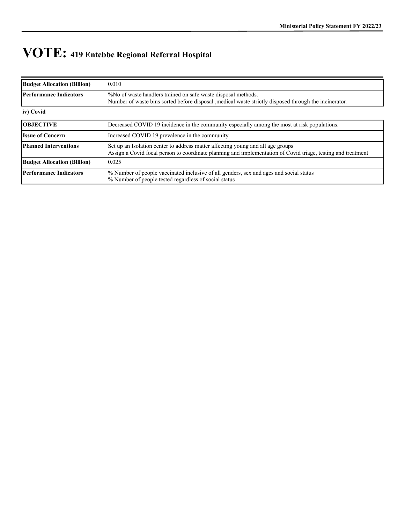| <b>Budget Allocation (Billion)</b> | 0.010                                                                                                                                                                                           |
|------------------------------------|-------------------------------------------------------------------------------------------------------------------------------------------------------------------------------------------------|
| <b>Performance Indicators</b>      | %No of waste handlers trained on safe waste disposal methods.<br>Number of waste bins sorted before disposal , medical waste strictly disposed through the incinerator.                         |
| iv) Covid                          |                                                                                                                                                                                                 |
| <b>OBJECTIVE</b>                   | Decreased COVID 19 incidence in the community especially among the most at risk populations.                                                                                                    |
| <b>Issue of Concern</b>            | Increased COVID 19 prevalence in the community                                                                                                                                                  |
| <b>Planned Interventions</b>       | Set up an Isolation center to address matter affecting young and all age groups<br>Assign a Covid focal person to coordinate planning and implementation of Covid triage, testing and treatment |
| <b>Budget Allocation (Billion)</b> | 0.025                                                                                                                                                                                           |
| Performance Indicators             | % Number of people vaccinated inclusive of all genders, sex and ages and social status<br>% Number of people tested regardless of social status                                                 |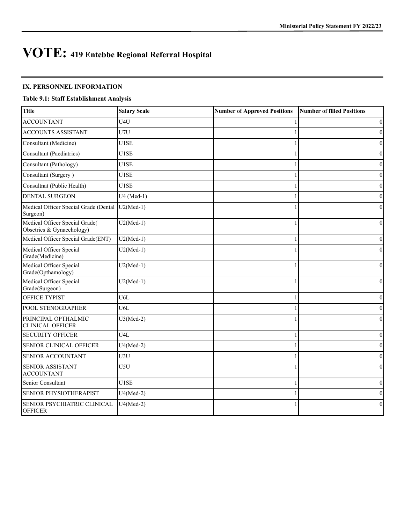#### **IX. PERSONNEL INFORMATION**

## **Table 9.1: Staff Establishment Analysis**

| <b>Title</b>                                                | <b>Salary Scale</b> | <b>Number of Approved Positions</b> | <b>Number of filled Positions</b> |
|-------------------------------------------------------------|---------------------|-------------------------------------|-----------------------------------|
| <b>ACCOUNTANT</b>                                           | U4U                 |                                     | $\mathbf{0}$                      |
| <b>ACCOUNTS ASSISTANT</b>                                   | U7U                 |                                     | $\theta$                          |
| Consultant (Medicine)                                       | U1SE                |                                     | $\theta$                          |
| Consultant (Paediatrics)                                    | U1SE                |                                     | $\theta$                          |
| Consultant (Pathology)                                      | U1SE                |                                     | $\theta$                          |
| Consultant (Surgery)                                        | U1SE                |                                     | $\mathbf{0}$                      |
| Consultnat (Public Health)                                  | U1SE                |                                     | $\mathbf{0}$                      |
| <b>DENTAL SURGEON</b>                                       | $U4 (Med-1)$        |                                     | $\theta$                          |
| Medical Officer Special Grade (Dental<br>Surgeon)           | $U2(Med-1)$         |                                     | $\Omega$                          |
| Medical Officer Special Grade(<br>Obsetrics & Gynaechology) | $U2(Med-1)$         |                                     | $\theta$                          |
| Medical Officer Special Grade(ENT)                          | $U2(Med-1)$         |                                     | $\theta$                          |
| Medical Officer Special<br>Grade(Medicine)                  | $U2(Med-1)$         |                                     | $\theta$                          |
| Medical Officer Special<br>Grade(Opthamology)               | $U2(Med-1)$         |                                     | $\Omega$                          |
| Medical Officer Special<br>Grade(Surgeon)                   | $U2(Med-1)$         |                                     | $\Omega$                          |
| <b>OFFICE TYPIST</b>                                        | U <sub>6</sub> L    |                                     | $\theta$                          |
| POOL STENOGRAPHER                                           | U <sub>6</sub> L    |                                     | $\theta$                          |
| PRINCIPAL OPTHALMIC<br><b>CLINICAL OFFICER</b>              | $U3(Med-2)$         |                                     | $\theta$                          |
| <b>SECURITY OFFICER</b>                                     | U <sub>4</sub> L    |                                     | $\theta$                          |
| <b>SENIOR CLINICAL OFFICER</b>                              | $U4(Med-2)$         |                                     | $\theta$                          |
| SENIOR ACCOUNTANT                                           | U3U                 |                                     | $\theta$                          |
| <b>SENIOR ASSISTANT</b><br><b>ACCOUNTANT</b>                | U5U                 |                                     | $\theta$                          |
| Senior Consultant                                           | U1SE                |                                     | $\mathbf{0}$                      |
| SENIOR PHYSIOTHERAPIST                                      | $U4(Med-2)$         |                                     | $\theta$                          |
| SENIOR PSYCHIATRIC CLINICAL<br><b>OFFICER</b>               | $U4(Med-2)$         |                                     | $\theta$                          |